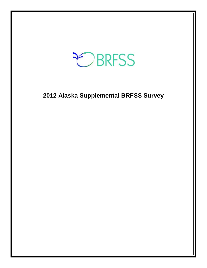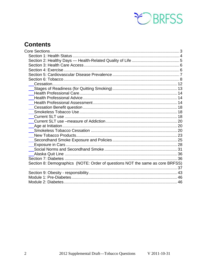

# **Contents**

<span id="page-1-0"></span>

| Section 8: Demographics (NOTE: Order of questions NOT the same as core BRFSS) |  |
|-------------------------------------------------------------------------------|--|
|                                                                               |  |
|                                                                               |  |
|                                                                               |  |
|                                                                               |  |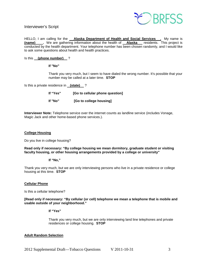

#### Interviewer's Script

HELLO, I am calling for the **Alaska Department of Health and Social Services**. My name is **(name) .** We are gathering information about the health of **Alaska** residents. This project is conducted by the health department. Your telephone number has been chosen randomly, and I would like to ask some questions about health and health practices.

#### Is this **(phone number)** ?

#### **If "No"**

Thank you very much, but I seem to have dialed the wrong number. It's possible that your number may be called at a later time. **STOP**

Is this a private residence in **(state)** ?

| lf "Yes" | [Go to cellular phone question] |
|----------|---------------------------------|
| lf "No"  | [Go to college housing]         |

**Interviewer Note:** Telephone service over the internet counts as landline service (includes Vonage, Magic Jack and other home-based phone services.).

#### **College Housing**

Do you live in college housing?

**Read only if necessary: "By college housing we mean dormitory, graduate student or visiting faculty housing, or other housing arrangements provided by a college or university"**

#### **If "No,"**

Thank you very much, but we are only interviewing persons who live in a private residence or college housing at this time. **STOP**

#### **Cellular Phone**

Is this a cellular telephone?

**[Read only if necessary: "By cellular (or cell) telephone we mean a telephone that is mobile and usable outside of your neighborhood."** 

**If "Yes"**

Thank you very much, but we are only interviewing land line telephones and private residences or college housing. **STOP**

#### **Adult Random Selection**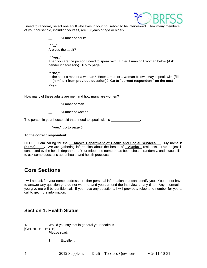

I need to randomly select one adult who lives in your household to be interviewed. How many members of your household, including yourself, are 18 years of age or older?

Number of adults

**If "1,"**  Are you the adult?

**If "yes,"** 

Then you are the person I need to speak with. Enter 1 man or 1 woman below (Ask gender if necessary). **Go to page 5.**

#### **If "no,"**

Is the adult a man or a woman? Enter 1 man or 1 woman below. May I speak with **[fill in (him/her) from previous question]**? **Go to "correct respondent" on the next page.**

How many of these adults are men and how many are women?

- Number of men
- Number of women

The person in your household that I need to speak with is .

#### **If "you," go to page 5**

#### **To the correct respondent:**

HELLO, I am calling for the **Alaska Department of Health and Social Services**. My name is **(name)** We are gathering information about the health of **Alaska** residents. This project is conducted by the health department. Your telephone number has been chosen randomly, and I would like to ask some questions about health and health practices.

# **Core Sections**

I will not ask for your name, address, or other personal information that can identify you. You do not have to answer any question you do not want to, and you can end the interview at any time. Any information you give me will be confidential. If you have any questions, I will provide a telephone number for you to call to get more information.

# <span id="page-3-0"></span>**Section 1: Health Status**

**1.1** Would you say that in general your health is— [GENHLTH – BOTH]

**Please read:**

1 Excellent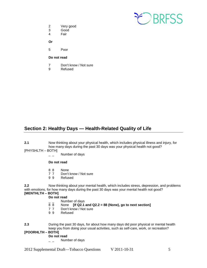

- 2 Very good<br>3 Good
- Good
- 4 Fair

**Or**

5 Poor

#### **Do not read**

- 7 Don't know / Not sure<br>9 Refused
- **Refused**

# <span id="page-4-0"></span>**Section 2: Healthy Days — Health-Related Quality of Life**

- **2.1** Now thinking about your physical health, which includes physical illness and injury, for how many days during the past 30 days was your physical health not good?
- [PHYSHLTH BOTH]
	- $\overline{a}$   $\overline{a}$  Number of days

#### **Do not read**

- 8 8 None<br>7 7 Don't
- 7 7 Don't know / Not sure<br>9 9 Refused
- **Refused**

**2.2** Now thinking about your mental health, which includes stress, depression, and problems with emotions, for how many days during the past 30 days was your mental health not good? **[MENTHLTH – BOTH]** 

- **Do not read**
- $\frac{1}{8}$   $\frac{1}{8}$  Number of days
- 8 8 None **[If Q2.1 and Q2.2 = 88 (None), go to next section]**
- 7 7 Don't know / Not sure<br>9 9 Refused
- **Refused**
- **2.3** During the past 30 days, for about how many days did poor physical or mental health keep you from doing your usual activities, such as self-care, work, or recreation?

#### **[POORHLTH – BOTH]**

#### **Do not read**

 $\overline{a}$   $\overline{a}$  Number of days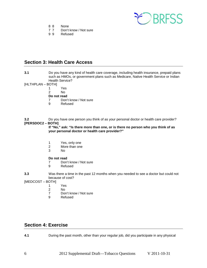

- 8 8 None<br>7 7 Don't
- Don't know / Not sure
- 9 9 Refused

# <span id="page-5-0"></span>**Section 3: Health Care Access**

- **3.1** Do you have any kind of health care coverage, including health insurance, prepaid plans such as HMOs, or government plans such as Medicare, Native Health Service or Indian Health Service?
- [HLTHPLAN BOTH]
	- 1 Yes
	- 2 No
	- **Do not read**
	- 7 Don't know / Not sure
	- 9 Refused

**3.2** Do you have one person you think of as your personal doctor or health care provider? **[PERSDOC2 – BOTH]**

**If "No," ask: "Is there more than one, or is there no person who you think of as your personal doctor or health care provider?"**

- 1 Yes, only one
- 2 More than one<br>3 No
- N<sub>o</sub>

# **Do not read**<br> **Pop**

- 7 Don't know / Not sure<br>9 Refused
- **Refused**
- **3.3** Was there a time in the past 12 months when you needed to see a doctor but could not because of cost?
- <span id="page-5-1"></span>[MEDCOST – BOTH]
	- 1 Yes<br>2 No
	- $N<sub>0</sub>$
	- 7 Don't know / Not sure<br>9 Refused
	- **Refused**

# **Section 4: Exercise**

**4.1** During the past month, other than your regular job, did you participate in any physical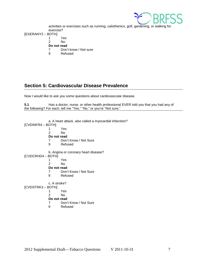

activities or exercises such as running, calisthenics, golf, gardening, or walking for exercise?

# [EXERANY2 – BOTH]

- 1 Yes<br>2 No
- 2 No

# **Do not read**<br>7 Don'

- Don't know / Not sure
- 9 Refused

# <span id="page-6-0"></span>**Section 5: Cardiovascular Disease Prevalence**

Now I would like to ask you some questions about cardiovascular disease.

**5.1** Has a doctor, nurse, or other health professional EVER told you that you had any of the following? For each, tell me "Yes," "No," or you're "Not sure."

|                   | a. A heart attack, also called a myocardial infarction? |
|-------------------|---------------------------------------------------------|
| [CVDINFR4 – BOTH] |                                                         |
| 1                 | Yes                                                     |
| $\mathcal{P}$     | N٥                                                      |
|                   | Do not read                                             |
| 7                 | Don't Know / Not Sure                                   |
| 9                 | Refused                                                 |
|                   | b. Angina or coronary heart disease?                    |
| [CVDCRHD4 - BOTH] |                                                         |
| 1                 | Yes                                                     |
|                   |                                                         |
| 2                 | No                                                      |
|                   | Do not read                                             |
| 7                 | Don't Know / Not Sure                                   |
| 9                 | Refused                                                 |
| c. A stroke?      |                                                         |
| [CVDSTRK3 – BOTH] |                                                         |
| 1                 | Yes                                                     |
| 2                 | No                                                      |
|                   |                                                         |
|                   | Do not read                                             |
| 7                 | Don't Know / Not Sure                                   |
| 9                 | Refused                                                 |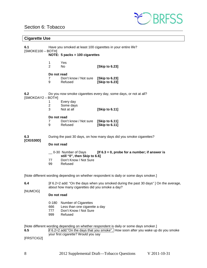# <span id="page-7-0"></span>Section 6: Tobacco



### **Cigarette Use**

| 6.1<br>[SMOKE100 - BOTH]       | Have you smoked at least 100 cigarettes in your entire life?        |                                                                                         |                                                                  |  |  |
|--------------------------------|---------------------------------------------------------------------|-----------------------------------------------------------------------------------------|------------------------------------------------------------------|--|--|
| NOTE: 5 packs = 100 cigarettes |                                                                     |                                                                                         |                                                                  |  |  |
|                                | 1<br>$\overline{2}$                                                 | Yes<br>No.                                                                              | [Skip to 6.23]                                                   |  |  |
|                                | Do not read<br>7<br>9                                               | Don't know / Not sure<br>Refused                                                        | [Skip to 6.23]<br>[Skip to 6.23]                                 |  |  |
| 6.2<br>[SMOKDAY2 - BOTH]       |                                                                     |                                                                                         | Do you now smoke cigarettes every day, some days, or not at all? |  |  |
|                                | 1<br>$\overline{\mathbf{c}}$<br>3                                   | Every day<br>Some days<br>Not at all                                                    | [Skip to 6.11]                                                   |  |  |
|                                | Do not read<br>7<br>9                                               | Don't know / Not sure [Skip to 6.11]<br>Refused                                         | <b>[Skip to 6.11]</b>                                            |  |  |
| 6.3<br>[CIGS30D]               | During the past 30 days, on how many days did you smoke cigarettes? |                                                                                         |                                                                  |  |  |
|                                | Do not read                                                         |                                                                                         |                                                                  |  |  |
|                                | 77<br>99                                                            | 0-30 Number of Days<br>still "0", then Skip to 6.6]<br>Don't Know / Not Sure<br>Refused | [If $6.3 = 0$ , probe for a number; if answer is                 |  |  |

[Note different wording depending on whether respondent is daily or some days smoker.]

- **6.4** [if 6.2=2 add: "On the days when you smoked during the past 30 days" ] On the average, about how many cigarettes did you smoke a day?
- [NUMCIG]
- **Do not read**
- 0-180 Number of Cigarettes<br>666 Less than one cigarett
- 666 Less than one cigarette a day<br>777 Don't Know / Not Sure
- Don't Know / Not Sure
- 999 Refused

[Note different wording depending on whether respondent is daily or some days smoker.]<br>6.5 **if** 6.2=2 add: "On the days that you smoke", How soon after you wake up

**6.5** if 6.2=2 add:"On the days that you smoke", How soon after you wake up do you smoke your first cigarette? Would you say

[FRSTCIG2]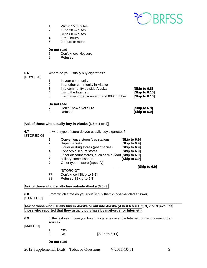

- 1 Within 15 minutes<br>2 15 to 30 minutes
- 2 15 to 30 minutes
- 3 31 to 60 minutes<br>4 1 to 2 hours
- 4 1 to 2 hours<br>5 2 hours or m
- 2 hours or more

#### **Do not read**

- 7 Don't know/ Not sure
- 9 Refused

| 6.6<br>[BUYCIGS] |                       | Where do you usually buy cigarettes?                                                                                                                    |                                                   |
|------------------|-----------------------|---------------------------------------------------------------------------------------------------------------------------------------------------------|---------------------------------------------------|
|                  | 1<br>2<br>3<br>4<br>5 | In your community<br>In another community in Alaska<br>In a community outside Alaska<br>Using the Internet<br>Using mail-order source or and 800 number | [Skip to 6.8]<br>[Skip to 6.10]<br>[Skip to 6.10] |
|                  | 9                     | Do not read<br>Don't Know / Not Sure<br>Refused                                                                                                         | [Skip to 6.9]<br>[Skip to 6.9]                    |

### **Ask of those who usually buy in Alaska (6.6 = 1 or 2)**

| 6.7<br>[STORECIG] |    | In what type of store do you usually buy cigarettes?  |               |
|-------------------|----|-------------------------------------------------------|---------------|
|                   | 1  | Convenience stores/gas stations                       | [Skip to 6.9] |
|                   | 2  | Supermarkets                                          | [Skip to 6.9] |
|                   | 3  | Liquor or drug stores (pharmacies)                    | [Skip to 6.9] |
|                   | 4  | Tobacco discount stores                               | [Skip to 6.9] |
|                   | 5  | Other discount stores, such as Wal-Mart [Skip to 6.9] |               |
|                   | 6  | Military commissaries                                 | [Skip to 6.9] |
|                   | 7  | Other type of store (specify)                         |               |
|                   |    |                                                       | [Skip to 6.9] |
|                   |    | [STORCIGT]                                            |               |
|                   | 77 | Don't know [Skip to 6.9]                              |               |

99 Refused **[Skip to 6.9]**

### **Ask of those who usually buy outside Alaska (6.6=3)**

**6.8** From which state do you usually buy them? **(open-ended answer)** [STATECIG]

\_\_\_\_\_\_\_\_\_\_\_\_\_\_\_\_\_\_\_\_\_\_\_\_\_\_\_\_\_\_\_\_\_\_\_\_\_\_\_\_\_\_\_\_\_\_\_\_\_\_\_\_\_\_\_\_\_\_\_\_\_\_\_\_\_\_\_\_\_\_\_ Ask of those who usually buy in Alaska or outside Alaska (Ask if 6.6 = 1, 2, 3, 7 or 9 [exclude **those who reported that they usually purchase by mail-order or Internet])**

| 6.9       | source? |     | In the last year, have you bought cigarettes over the Internet, or using a mail-order |
|-----------|---------|-----|---------------------------------------------------------------------------------------|
| [MAILCIG] |         |     |                                                                                       |
|           |         | Yes |                                                                                       |
|           |         | N٥  | [Skip to 6.11]                                                                        |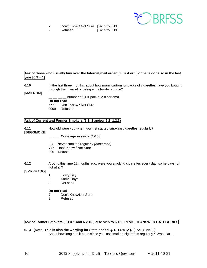

|   | Don't Know / Not Sure [Skip to 6.11] |                |
|---|--------------------------------------|----------------|
| 9 | Refused                              | [Skip to 6.11] |

#### Ask of those who usually buy over the Internet/mail order [6.6 = 4 or 5] or have done so in the last **year [6.9 = 1]**

**6.10** In the last three months, about how many cartons or packs of cigarettes have you bought through the Internet or using a mail-order source?

[MAILNUM]

number of  $(1 =$  packs,  $2 =$  cartons) **Do not read** 7777 Don't Know / Not Sure 9999 Refused

#### **Ask of Current and Former Smokers (6.1=1 and/or 6.2=1,2,3)**

**6.11** How old were you when you first started smoking cigarettes regularly?

**[BEGSMOKE]** 

**\_\_ \_\_\_ Code age in years (1-100)**

- 888 Never smoked regularly *(don't read)*
- 777 Don't Know / Not Sure
- 999 Refused
- **6.12** Around this time 12 months ago, were you smoking cigarettes every day, some days, or not at all?

[SMKYRAGO]

- 1 Every Day<br>2 Some Davs
- Some Days
- 3 Not at all

#### **Do not read**

- 7 Don't Know/Not Sure
- 9 Refused

#### **Ask of Former Smokers (6.1 = 1 and 6.2 = 3) else skip to 6.15: REVISED ANSWER CATEGORIES**

**6.13 (Note: This is also the wording for State-added Q. D.1 (2012 ).** [LASTSMK3?] About how long has it been since you last smoked cigarettes regularly? Was that…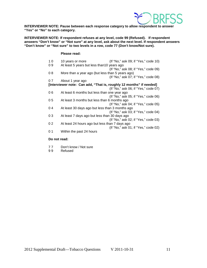

**INTERVIEWER NOTE: Pause between each response category to allow respondent to answer "Yes" or "No" to each category.**

**INTERVIEWER NOTE: If respondent refuses at any level, code 99 (Refused). If respondent answers "Don't know" or "Not sure" at any level, ask about the next level. If respondent answers "Don't know" or "Not sure" to two levels in a row, code 77 (Don't know/Not sure).**

#### **Please read:**

1 0 10 years or more (If "No," ask 09; if "Yes," code 10) 0 9 At least 5 years but less than 10 years ago (If "No," ask 08; if "Yes," code 09) 0 8 More than a year ago (but less than 5 years ago) (If "No," ask 07; if "Yes," code 08) 0 7 About 1 year ago **[Interviewer note: Can add, "That is, roughly 12 months" if needed]**  (If "No," ask 06; if "Yes," code 07) 0 6 At least 6 months but less than one year ago (If "No," ask 05; if "Yes," code 06) 0 5 At least 3 months but less than 6 months ago (If "No," ask 04; if "Yes," code 05) 0 4 At least 30 days ago but less than 3 months ago (If "No," ask 03; if "Yes," code 04) 0 3 At least 7 days ago but less than 30 days ago (If "No," ask 02; if "Yes," code 03) 0 2 At least 24 hours ago but less than 7 days ago (If "No," ask 01; if "Yes," code 02) 0 1 Within the past 24 hours

- 77 Don't know / Not sure<br>99 Refused
- **Refused**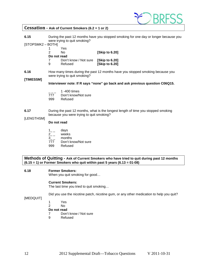

### <span id="page-11-0"></span>**Cessation - Ask of Current Smokers (6.2 = 1 or 2)**

**6.15** During the past 12 months have you stopped smoking for one day or longer because you were trying to quit smoking?

[STOPSMK2 – BOTH]

|               | Yes                   |                      |
|---------------|-----------------------|----------------------|
| $\mathcal{P}$ | N٥                    | [Skip to 6.20]       |
| Do not read   |                       |                      |
| -7            | Don't know / Not sure | <b>Skip to 6.201</b> |
| 9             | Refused               | [Skip to 6.20]       |

**6.16** How many times during the past 12 months have you stopped smoking because you were trying to quit smoking?

#### **[TIMESSM]**

**Interviewer note: If R says "none" go back and ask previous question C06Q15.**

- \_ \_ \_ 1 -400 times
- 777 Don't know/Not sure
- 999 Refused
- **6.17** During the past 12 months, what is the longest length of time you stopped smoking because you were trying to quit smoking?

#### [LENGTHSM]

#### **Do not read**

- $\frac{1}{2}$  days<br>2 \_ week
- $2_{--}$  weeks<br>3 months
- months
- 777 Don't know/Not sure
- 999 Refused

**Methods of Quitting - Ask of Current Smokers who have tried to quit during past 12 months (6.15 = 1) or Former Smokers who quit within past 5 years (6.13 = 01-08)**

#### **6.18 Former Smokers:**

When you quit smoking for good…

#### **Current Smokers:**

The last time you tried to quit smoking…

Did you use the nicotine patch, nicotine gum, or any other medication to help you quit?

#### [MEDQUIT]

- 1 Yes
- 2 No
- **Do not read**
- 7 Don't know / Not sure<br>9 Refused
- **Refused**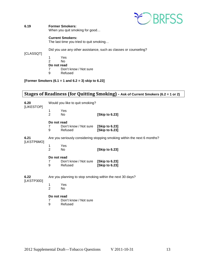

#### **6.19 Former Smokers:** When you quit smoking for good…

#### **Current Smokers:**

The last time you tried to quit smoking…

Did you use any other assistance, such as classes or counseling?

#### [CLASSQT]

1 Yes<br>2 No 2 No **Do not read**<br> **7** Don't 7 Don't know / Not sure<br>9 Refused **Refused** 

**[Former Smokers (6.1 = 1 and 6.2 = 3) skip to 6.23]**

# <span id="page-12-0"></span>**Stages of Readiness (for Quitting Smoking) - Ask of Current Smokers (6.2 = 1 or 2)**

| 6.20<br>[LIKESTOP] | Would you like to quit smoking?                           |                                  |                                                                          |
|--------------------|-----------------------------------------------------------|----------------------------------|--------------------------------------------------------------------------|
|                    | 1<br>$\overline{2}$                                       | Yes<br>No.                       | [Skip to 6.23]                                                           |
|                    | Do not read<br>7<br>9                                     | Don't know / Not sure<br>Refused | [Skip to 6.23]<br>[Skip to 6.23]                                         |
| 6.21               |                                                           |                                  | Are you seriously considering stopping smoking within the next 6 months? |
| [LKSTP6MO]         | 1<br>$\overline{2}$                                       | Yes<br>N <sub>o</sub>            | [Skip to 6.23]                                                           |
|                    | Do not read<br>7<br>9                                     | Don't know / Not sure<br>Refused | [Skip to 6.23]<br>[Skip to 6.23]                                         |
| 6.22               | Are you planning to stop smoking within the next 30 days? |                                  |                                                                          |
| [LKSTP30D]         | 1<br>$\overline{2}$                                       | Yes<br>No                        |                                                                          |
|                    | Do not read<br>$\overline{7}$<br>9                        | Don't know / Not sure<br>Refused |                                                                          |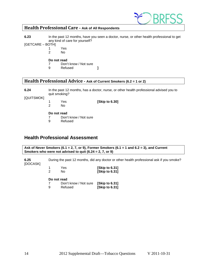

## <span id="page-13-0"></span>**Health Professional Care - Ask of All Respondents**

**6.23** In the past 12 months, have you seen a doctor, nurse, or other health professional to get any kind of care for yourself?

[GETCARE – BOTH]

- 1 Yes
	- N<sub>o</sub>

# **Do not read**<br> **7** Don'

- 7 Don't know / Not sure<br>9 Refused
- 9 Refused **]**

# <span id="page-13-1"></span>**Health Professional Advice - Ask of Current Smokers (6.2 = 1 or 2)**

**6.24** In the past 12 months, has a doctor, nurse, or other health professional advised you to quit smoking?

[QUITSMOK]

- 1 Yes **[Skip to 6.30]**
- 2 No

#### **Do not read**

- 7 Don't know / Not sure<br>9 Refused
- **Refused**

## <span id="page-13-2"></span>**Health Professional Assessment**

**Ask of Never Smokers (6.1 = 2, 7, or 9), Former Smokers (6.1 = 1 and 6.2 = 3), and Current Smokers who were not advised to quit (6.24 = 2, 7, or 9)** 

**6.25** During the past 12 months, did any doctor or other health professional ask if you smoke? [DOCASK]

| Yes. | [Skip to 6.31] |
|------|----------------|
| Nο   | [Skip to 6.31] |

| 7 | Don't know / Not sure [Skip to 6.31] |                |
|---|--------------------------------------|----------------|
| 9 | Refused                              | [Skip to 6.31] |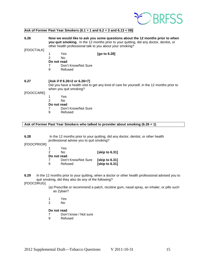

#### **Ask of Former Past Year Smokers (6.1 = 1 and 6.2 = 3 and 6.13 < 08)**

**6.26 Now we would like to ask you some questions about the 12 months prior to when you quit smoking.** In the 12 months prior to your quitting, did any doctor, dentist, or other health professional talk to you about your smoking?

#### [FDOCTALK]

- 1 Yes **[go to 6.28]**
- No.
- **Do not read**
- 7 Don't Know/Not Sure<br>9 Refused
- **Refused**

#### **6.27 [Ask if If 6.26=2 or 6.26=7]**

Did you have a health visit to get any kind of care for yourself, in the 12 months prior to when you quit smoking?

[FDOCCARE]

- 1 Yes
- No
- **Do not read**
- 7 Don't Know/Not Sure<br>9 Refused
- **Refused**

#### **Ask of Former Past Year Smokers who talked to provider about smoking (6.26 = 1)**

**6.28** In the 12 months prior to your quitting, did any doctor, dentist, or other health professional advise you to quit smoking?

[FDOCPRIOR]

| 1<br>2      | Yes<br>N٥           | [skip to 6.31] |
|-------------|---------------------|----------------|
| Do not read |                     |                |
|             | Don't Know/Not Sure | [skip to 6.31] |
| 9           | Refused             | [skip to 6.31] |

**6.29** In the 12 months prior to your quitting, when a doctor or other health professional advised you to quit smoking, did they also do any of the following?

[FDOCDRUG]

- (a) Prescribe or recommend a patch, nicotine gum, nasal spray, an inhaler, or pills such as Zyban?
- 1 Yes
- 2 No

- 7 Don't know / Not sure
- 9 Refused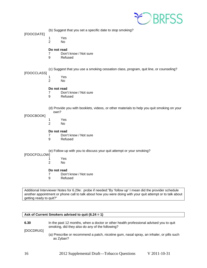

(b) Suggest that you set a specific date to stop smoking?

[FDOCDATE]

- 1 Yes
- 2 No

#### **Do not read**

- 7 Don't know / Not sure
- 9 Refused

[FDOCCLASS]

(c) Suggest that you use a smoking cessation class, program, quit line, or counseling?

- - 1 Yes N<sub>o</sub>

#### **Do not read**

- 7 Don't know / Not sure<br>9 Refused
- **Refused**
- (d) Provide you with booklets, videos, or other materials to help you quit smoking on your own?

#### [FDOCBOOK]

- 1 Yes
- 2 No

#### **Do not read**

- 7 Don't know / Not sure
- 9 Refused

#### (e) Follow up with you to discuss your quit attempt or your smoking?

#### [FDOCFOLLOW]

- 1 Yes
	- No.

#### **Do not read**

- 7 Don't know / Not sure<br>9 Refused
- **Refused**

Additional Interviewer Notes for 6.29e: probe if needed:"By 'follow up' I mean did the provider schedule another appointment or phone call to talk about how you were doing with your quit attempt or to talk about getting ready to quit?"

#### **Ask of Current Smokers advised to quit (6.24 = 1)**

**6.30** In the past 12 months, when a doctor or other health professional advised you to quit smoking, did they also do any of the following?

[DOCDRUG]

(a) Prescribe or recommend a patch, nicotine gum, nasal spray, an inhaler, or pills such as Zyban?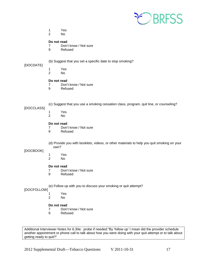

- 1 Yes
- 2 No

#### **Do not read**

- 7 Don't know / Not sure<br>9 Refused
- **Refused**

#### [DOCDATE]

- (b) Suggest that you set a specific date to stop smoking?
- 1 Yes<br>2 No
	- No.

#### **Do not read**

- 7 Don't know / Not sure
- 9 Refused

(c) Suggest that you use a smoking cessation class, program, quit line, or counseling?

### [DOCCLASS]

- 1 Yes
	- No.

#### **Do not read**

- 7 Don't know / Not sure<br>9 Refused
	- **Refused**

(d) Provide you with booklets, videos, or other materials to help you quit smoking on your own?

#### [DOCBOOK]

- 1 Yes<br>2 No
- No.

#### **Do not read**

- 7 Don't know / Not sure<br>9 Refused
- **Refused**

(e) Follow up with you to discuss your smoking or quit attempt?

#### [DOCFOLLOW]

- 1 Yes
	- No.

#### **Do not read**

- 7 Don't know / Not sure
- 9 Refused

Additional Interviewer Notes for 6.30e: probe if needed:"By 'follow up' I mean did the provider schedule another appointment or phone call to talk about how you were doing with your quit attempt or to talk about getting ready to quit?"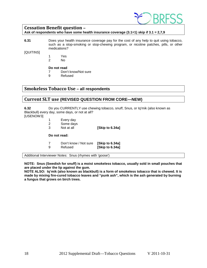

# <span id="page-17-0"></span>**Cessation Benefit question –**

**Ask of respondents who have some health insurance coverage (3.1=1) skip if 3.1 = 2,7,9**

**6.31** Does your health insurance coverage pay for the cost of any help to quit using tobacco, such as a stop-smoking or stop-chewing program, or nicotine patches, pills, or other medications?

[QUITINS]

- 1 Yes
- 2 No

#### **Do not read**

- 7 Don't know/Not sure
- 9 Refused

### <span id="page-17-1"></span>**Smokeless Tobacco Use – all respondents**

### <span id="page-17-2"></span>**Current SLT use (REVISED QUESTION FROM CORE—NEW)**

**6.32** Do you CURRENTLY use chewing tobacco, snuff, Snus, or Iq'mik (also known as Blackbull) every day, some days, or not at all? [USENOW3]

 Every day Some days Not at all **[Skip to 6.34a] Do not read:** Don't know / Not sure **[Skip to 6.34a]** Refused **[Skip to 6.34a]**

Additional Interviewer Notes: Snus (rhymes with 'goose')

**NOTE: Snus (Swedish for snuff) is a moist smokeless tobacco, usually sold in small pouches that are placed under the lip against the gum.** 

**NOTE ALSO: Iq'mik (also known as blackbull) is a form of smokeless tobacco that is chewed. It is made by mixing fire-cured tobacco leaves and "punk ash", which is the ash generated by burning a fungus that grows on birch trees.**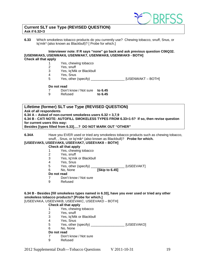

#### **Current SLT use Type (REVISED QUESTION) Ask if 6.32<3**

**6.33** Which smokeless tobacco products do you currently use? Chewing tobacco, snuff, Snus, or Iq'mik\* (also known as Blackbull)? [ Probe for which.]

## **Interviewer note: If R says "none" go back and ask previous question C06Q32. [USENWAK5, USENWAK6, USENWAK7, USENWAK8, USENWAK9 - BOTH]**

#### **Check all that apply**

- 1 Yes, chewing tobacco<br>2 Yes, snuff
- Yes, snuff
- 3 Yes, Iq'Mik or Blackbull<br>4 Yes. Snus
- Yes, Snus
- 5 Yes, other (specify) \_\_\_\_\_\_\_\_\_\_\_\_\_\_\_\_\_\_ [USENWAKT BOTH]

#### **Do not read**

- 7 Don't know / Not sure **to 6.45**
	- Refused

**Lifetime (former) SLT use Type (REVISED QUESTION) Ask of all respondents 6.34 A – Asked of non-current smokeless users 6.32 = 3,7,9 6.34 B - CATI NOTE: AUTOFILL SMOKELESS TYPES FROM 6.33=1-5? If so, then revise question for current users this way: Besides [types filled from 6.33]….? DO NOT MARK OUT "OTHER"**

**6.34A** Have you EVER used or tried any smokeless tobacco products such as chewing tobacco, snuff, , Snus, or Iq'mik\* (also known as Blackbull)? **Probe for which.**

#### **[USEEVAK5, USEEVAK6, USEEVAK7, USEEVAK8 – BOTH]**

#### **Check all that apply**

- 1 Yes, chewing tobacco<br>2 Yes, snuff
	-
- 2 Yes, snuff<br>3 Yes, Ig'mil Yes, Iq'mik or Blackbull
- 
- 4 Yes, Snus<br>5 Yes, other (specify)
- 5 Yes, other (specify) \_\_\_\_\_\_\_\_\_\_\_\_\_\_\_\_\_\_ [USEEVAKT] 6 No, None
- **Do not read**
- 7 Don't know / Not sure
- 9 Refused

#### **6.34 B - Besides [fill smokeless types named in 6.33], have you ever used or tried any other smokeless tobacco products? [Probe for which.]**

[USEEVAKA, USEEVAKB, USEEVAKC, USEEVAKD – BOTH]

#### **Check all that apply**

- 1 Yes, chewing tobacco<br>2 Yes, snuff
- Yes, snuff
- 3 Yes, Iq'Mik or Blackbull
- 4 Yes, Snus<br>5 Yes, other
- 5 Yes, other (specify) \_\_\_\_\_\_\_\_\_\_\_\_\_\_\_\_\_\_ [USEEVAKO]
- 6 No, None

- 7 Don't know / Not sure
- 9 Refused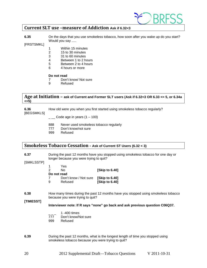

### <span id="page-19-0"></span>**Current SLT use –measure of Addiction Ask if 6.32<3**

**6.35** On the days that you use smokeless tobacco, how soon after you wake up do you start? Would you say .....

[FRSTSMKL]

- 1 Within 15 minutes<br>2 15 to 30 minutes
- 2 15 to 30 minutes<br>3 31 to 60 minutes
- 31 to 60 minutes
- 4 Between 1 to 2 hours
- 5 Between 2 to 4 hours
- 6 4 hours or more

#### **Do not read**

- 7 Don't know/ Not sure<br>9 Refused
- **Refused**

#### <span id="page-19-1"></span>**Age at Initiation – ask of Current and Former SLT users (Ask if 6.32<3 OR 6.33 <= 5, or 6.34a <=5)**

**6.36** How old were you when you first started using smokeless tobacco regularly? [BEGSMKLS]

 $\frac{1}{2}$  Code age in years (1 – 100)

- 888 Never used smokeless tobacco regularly<br>777 Don't know/not sure
- 777 Don't know/not sure<br>999 Refused
- Refused

## <span id="page-19-2"></span>**Smokeless Tobacco Cessation - Ask of Current ST Users (6.32 < 3)**

**6.37** During the past 12 months have you stopped using smokeless tobacco for one day or longer because you were trying to quit?

[SMKLSSTP]

|   | Yes                   |                      |
|---|-----------------------|----------------------|
| 2 | N٥                    | <b>Skip to 6.401</b> |
|   | Do not read           |                      |
|   | Don't know / Not sure | [Skip to 6.40]       |
| 9 | Refused               | [Skip to 6.40]       |

**6.38** How many times during the past 12 months have you stopped using smokeless tobacco because you were trying to quit?

**[TIMESST]**

**Interviewer note: If R says "none" go back and ask previous question C06Q37.**

- $1 400$  times
- 777 Don't know/Not sure
- 999 Refused
- **6.39** During the past 12 months, what is the longest length of time you stopped using smokeless tobacco because you were trying to quit?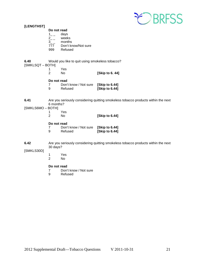

| [LENGTHST]             |                                                                                                |                                                 |                                                                                   |
|------------------------|------------------------------------------------------------------------------------------------|-------------------------------------------------|-----------------------------------------------------------------------------------|
|                        | Do not read                                                                                    |                                                 |                                                                                   |
|                        | $1_{-}$<br>$2 - 1$                                                                             | days<br>weeks<br>months                         |                                                                                   |
|                        | $3_{-}$<br>777                                                                                 | Don't know/Not sure                             |                                                                                   |
|                        | 999                                                                                            | Refused                                         |                                                                                   |
| 6.40<br>[SMKLSQT-BOTH] |                                                                                                | Would you like to quit using smokeless tobacco? |                                                                                   |
|                        | 1<br>$\overline{2}$                                                                            | Yes<br>No                                       | [Skip to 6.44]                                                                    |
|                        | Do not read                                                                                    |                                                 |                                                                                   |
|                        | 7<br>9                                                                                         | Don't know / Not sure<br>Refused                | [Skip to 6.44]<br>[Skip to 6.44]                                                  |
| 6.41                   | Are you seriously considering quitting smokeless tobacco products within the next<br>6 months? |                                                 |                                                                                   |
| [SMKLS6MO - BOTH]      | 1                                                                                              | Yes                                             |                                                                                   |
|                        | $\overline{2}$                                                                                 | No                                              | [Skip to 6.44]                                                                    |
|                        | Do not read<br>7<br>9                                                                          | Don't know / Not sure<br>Refused                | [Skip to 6.44]<br>[Skip to 6.44]                                                  |
| 6.42                   | 30 days?                                                                                       |                                                 | Are you seriously considering quitting smokeless tobacco products within the next |
| [SMKLS30D]             |                                                                                                |                                                 |                                                                                   |
|                        | 1<br>$\overline{2}$                                                                            | Yes<br>No                                       |                                                                                   |
|                        | Do not read<br>$\overline{7}$<br>9                                                             | Don't know / Not sure<br>Refused                |                                                                                   |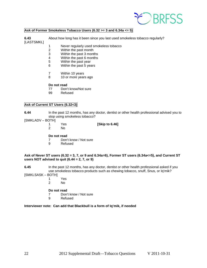

#### **Ask of Former Smokeless Tobacco Users (6.32 >= 3 and 6.34a <= 5)**

**6.43** About how long has it been since you last used smokeless tobacco regularly? [LASTSMKL]

- 1 Never regularly used smokeless tobacco<br>2 Within the past month
- 2 Within the past month<br>3 Within the past 3 mont
- 3 Within the past 3 months<br>4 Within the past 6 months
- Within the past 6 months
- 5 Within the past year
- 6 Within the past 5 years
- 7 Within 10 years
- 8 10 or more years ago

# **Do not read**<br>77 Don'

- 77 Don't know/Not sure<br>99 Refused
- Refused

#### **Ask of Current ST Users (6.32<3)**

- **6.44** In the past 12 months, has any doctor, dentist or other health professional advised you to stop using smokeless tobacco?
- [SMKLADV BOTH]
	-

1 Yes **[Skip to 6.46]**

 $N<sub>0</sub>$ 

#### **Do not read**

- 7 Don't know / Not sure
- 9 Refused

#### **Ask of Never ST users (6.32 = 3, 7, or 9 and 6.34a=6), Former ST users (6.34a<=5), and Current ST users NOT advised to quit (6.44 = 2, 7, or 9)**

- **6.45** In the past 12 months, has any doctor, dentist or other health professional asked if you use smokeless tobacco products such as chewing tobacco, snuff, Snus, or Iq'mik? [SMKLSASK – BOTH]
	- - 1 Yes<br>2 No  $N<sub>0</sub>$ 
			-

#### **Do not read**

- 7 Don't know / Not sure
- 9 Refused

#### **Interviewer note: Can add that Blackbull is a form of Iq'mik, if needed**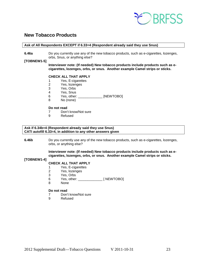

# <span id="page-22-0"></span>**New Tobacco Products**

#### **Ask of All Respondents EXCEPT if 6.33=4 (Respondent already said they use Snus)**

**6.46a** Do you currently use any of the new tobacco products, such as e-cigarettes, lozenges, orbs, Snus, or anything else?

#### **[TOBNEW1-5]**

**Interviewer note: (If needed) New tobacco products include products such as ecigarettes, lozenges, orbs, or snus. Another example Camel strips or sticks.**

#### **CHECK ALL THAT APPLY**

- 1 Yes, E-cigarettes<br>2 Yes, lozenges
- 2 Yes, lozenges<br>3 Yes, Orbs
- Yes, Orbs
- 4 Yes, Snus
- 6 Yes, other: \_\_\_\_\_\_\_\_\_\_\_\_\_\_\_ [NEWTOBO]<br>8 No (none)
- No (none)

#### **Do not read**

- 7 Don't know/Not sure<br>9 Refused
- **Refused**

#### **Ask if 6.34b=4 (Respondent already said they use Snus) CATI autofill 6.33=4, in addition to any other answers given**

**6.46b** Do you currently use any of the new tobacco products, such as e-cigarettes, lozenges, orbs, or anything else?

> **Interviewer note: (If needed) New tobacco products include products such as ecigarettes, lozenges, orbs, or snus. Another example Camel strips or sticks.**

#### **[TOBNEW1-4]**

#### **CHECK ALL THAT APPLY**

- 1 Yes, E-cigarettes<br>2 Yes, lozenges
- 2 Yes, lozenges<br>3 Yes. Orbs
- 3 Yes, Orbs<br>6 Yes, other:
- 6 Yes, other: \_\_\_\_\_\_\_\_\_\_\_\_\_ [ NEWTOBO]
- None

- 7 Don't know/Not sure<br>9 Refused
- **Refused**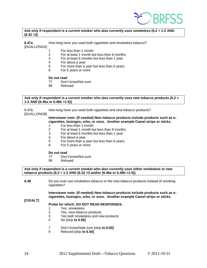

#### **Ask only if respondent is a current smoker who also currently uses smokeless (6.2 = 1-2 AND (6.32 <3)**

**6.47a** How long have you used both cigarettes and smokeless tobacco? [DUALLONGA]

- 1 For less than 1 month
- 2 For at least 1 month but less than 6 months
- $3$  For at least 6 months but less than 1 year<br>4 For about a year
- For about a year
- 5 For more than a year but less than 5 years
- 6 For 5 years or more

# **Do not read**<br>77 Don't

- 77 Don't know/Not sure<br>99 Refused
- Refused

#### **Ask only if respondent is a current smoker who also currently uses new tobacco products (6.2 = 1-2 AND (6.46a or 6.46b =1-6))**

6.47b. How long have you used both cigarettes and new tobacco products?

[DUALLONGB]

#### **Interviewer note: (If needed) New tobacco products include products such as ecigarettes, lozenges, orbs, or snus. Another example Camel strips or sticks.**

- 1 For less than 1 month
- 2 For at least 1 month but less than 6 months<br>3 For at least 6 months but less than 1 year
- For at least 6 months but less than 1 year
- 4 For about a year
- $5$  For more than a year but less than 5 years<br>6 For 5 years or more
- For 5 years or more

# **Do not read**<br>77 Don'

- Don't know/Not sure
- 99 Refused

**Ask only if respondent is a current smoker who also currently uses either smokeless or new tobacco products (6.2 = 1-2 AND (6.32 <3 and/or (6.46a or 6.46b =1-6))**

**6.48** Do you ever use smokeless tobacco or the new tobacco products instead of smoking cigarettes?

> **Interviewer note: (If needed) New tobacco products include products such as ecigarettes, lozenges, orbs, or snus. Another example Camel strips or sticks.**

**[CIGALT]**

#### **Probe for which. DO NOT READ RESPONSES.**

- 1 Yes, smokeless<br>2 Yes, new tobacc
- 2 Yes, new tobacco products<br>3 Yes both smokeless and ne
- 3 Yes both smokeless and new products<br>4 No Iskip to 6.501
- 4 No [skip **to 6.50]**
- 7 Don't know/Note sure [skip **to 6.50]**
- 9 Refused [skip **to 6.50]**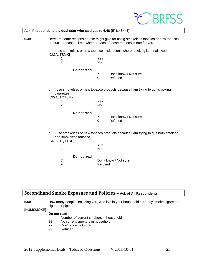

|      | Ask IF respondent is a dual user who said yes to 6.48 (IF 6.48 $\lt$ =3).                                                                                     |                                                                                  |                                                                               |  |  |
|------|---------------------------------------------------------------------------------------------------------------------------------------------------------------|----------------------------------------------------------------------------------|-------------------------------------------------------------------------------|--|--|
| 6.49 | Here are some reasons people might give for using smokeless tobacco or new tobacco<br>products. Please tell me whether each of these reasons is true for you. |                                                                                  |                                                                               |  |  |
|      | [CIGALTSMK]                                                                                                                                                   |                                                                                  | a. I use smokeless or new tobacco in situations where smoking is not allowed. |  |  |
|      | 1<br>$\overline{2}$                                                                                                                                           | Yes<br>No                                                                        |                                                                               |  |  |
|      | Do not read                                                                                                                                                   |                                                                                  |                                                                               |  |  |
|      | $\overline{7}$<br>Don't know / Not sure<br>9<br>Refused                                                                                                       |                                                                                  |                                                                               |  |  |
|      | b.<br>cigarettes.<br>[CIGALTQTSMK]                                                                                                                            |                                                                                  | I use smokeless or new tobacco products because I am trying to quit smoking   |  |  |
|      | 1<br>$\overline{2}$                                                                                                                                           | Yes<br>N <sub>o</sub>                                                            |                                                                               |  |  |
|      | Do not read                                                                                                                                                   |                                                                                  |                                                                               |  |  |
|      |                                                                                                                                                               | $\overline{7}$<br>9                                                              | Don't know / Not sure<br>Refused                                              |  |  |
|      | C.<br>and smokeless tobacco.<br>[CIGALTQTTOB]                                                                                                                 | I use smokeless or new tobacco products because I am trying to quit both smoking |                                                                               |  |  |
|      | 1<br>$\overline{2}$                                                                                                                                           | Yes<br>No                                                                        |                                                                               |  |  |
|      | Do not read                                                                                                                                                   |                                                                                  |                                                                               |  |  |
|      | 7<br>9                                                                                                                                                        | Refused                                                                          | Don't know / Not sure                                                         |  |  |

# <span id="page-24-0"></span>**Secondhand Smoke Exposure and Policies – Ask of All Respondents**

| 6.50 | How many people, including you, who live in your household currently smoke cigarettes, |
|------|----------------------------------------------------------------------------------------|
|      | cigars, or pipes?                                                                      |

[NUMSMOKE]

- $\frac{1}{2}$  Number of current smokers in household<br>88 No current smokers in household
- 88 No current smokers in household<br>77 Don't know/not sure
- 77 Don't know/not sure<br>99 Refused
- Refused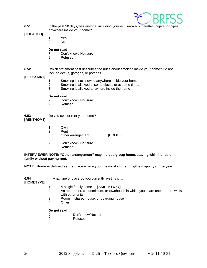

**6.51** In the past 30 days, has anyone, including yourself, smoked cigarettes, cigars, or pipes anywhere inside your home?

[TOBACCO]

- 1 Yes 2 No
- 

#### **Do not read**

- 7 Don't know / Not sure
- 9 Refused
- **6.52** Which statement best describes the rules about smoking inside your home? Do not include decks, garages, or porches.

[HOUSSMK1]

- 1 Smoking is not allowed anywhere inside your home<br>2 Smoking is allowed in some places or at some times
- Smoking is allowed in some places or at some times
- 3 Smoking is allowed anywhere inside the home

#### **Do not read**

- 7 Don't know / Not sure<br>9 Refused
- **Refused**

#### **6.53** Do you own or rent your home? **[RENTHOM1]**

- 1 Own
- 2 Rent
- 3 Other arrangement \_\_\_\_\_\_\_\_\_ [HOMET]
- 7 Don't know / Not sure
- 9 Refused

#### **INTERVIEWER NOTE: "Other arrangement" may include group home, staying with friends or family without paying rent.**

#### **NOTE: Home is defined as the place where you live most of the time/the majority of the year.**

| 6.54<br>[HOMETYPE] | In what type of place do you currently live? Is it                           |  |
|--------------------|------------------------------------------------------------------------------|--|
|                    | A single family home [SKIP TO 6.57]<br>An anartment condominium or townhouse |  |

- t, condominium, or townhouse in which you share one or more walls with other units
- 3 Room in shared house, or boarding house<br>4 Other
- **Other**

- 7 Don't know/Not sure<br>9 Refused
	- **Refused**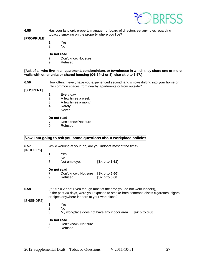

**6.55** Has your landlord, property manager, or board of directors set any rules regarding tobacco smoking on the property where you live?

#### **[PROPRULE]**

- 1 Yes<br>2 No
- No.

### **Do not read**

- 7 Don't know/Not sure<br>9 Refused
- **Refused**

#### **[Ask of all who live in an apartment, condominium, or townhouse in which they share one or more walls with other units or shared housing (Q6.54=2 or 3), else skip to 6.57.]**

**6.56** How often, if ever, have you experienced secondhand smoke drifting into your home or into common spaces from nearby apartments or from outside?

#### **[SHSRENT]**

- 1 Every day<br>2 A few time
- 2 A few times a week<br>3 A few times a month
- 3 A few times a month<br>4 Rarely
- 4 Rarely<br>5 Never
- **Never**

#### **Do not read**

- 7 Don't know/Not sure<br>9 Refused
- **Refused**

### **Now I am going to ask you some questions about workplace policies**

| 6.57<br>[INDOORS] | While working at your job, are you indoors most of the time? |                                                                                                                                                                                                                      |                |                |
|-------------------|--------------------------------------------------------------|----------------------------------------------------------------------------------------------------------------------------------------------------------------------------------------------------------------------|----------------|----------------|
|                   | 1                                                            | Yes                                                                                                                                                                                                                  |                |                |
|                   | $\overline{c}$                                               | No.                                                                                                                                                                                                                  |                |                |
|                   | 3                                                            | Not employed                                                                                                                                                                                                         | [Skip to 6.61] |                |
|                   | Do not read                                                  |                                                                                                                                                                                                                      |                |                |
|                   | 7                                                            | Don't know / Not sure                                                                                                                                                                                                | [Skip to 6.60] |                |
|                   | 9                                                            | Refused                                                                                                                                                                                                              | [Skip to 6.60] |                |
| 6.58              |                                                              | (If $6.57 = 2$ add: Even though most of the time you do not work indoors),<br>In the past 30 days, were you exposed to smoke from someone else's cigarettes, cigars,<br>or pipes anywhere indoors at your workplace? |                |                |
| [SHSINDR2]        |                                                              |                                                                                                                                                                                                                      |                |                |
|                   | 1                                                            | Yes                                                                                                                                                                                                                  |                |                |
|                   | $\overline{2}$                                               | No.                                                                                                                                                                                                                  |                |                |
|                   | 3                                                            | My workplace does not have any indoor area                                                                                                                                                                           |                | [skip to 6.60] |
|                   | Do not read                                                  |                                                                                                                                                                                                                      |                |                |
|                   |                                                              | Don't know / Not sure                                                                                                                                                                                                |                |                |
| 9<br>Refused      |                                                              |                                                                                                                                                                                                                      |                |                |
|                   |                                                              |                                                                                                                                                                                                                      |                |                |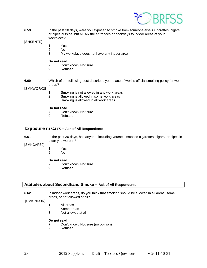

**6.59** In the past 30 days, were you exposed to smoke from someone else's cigarettes, cigars, or pipes outside, but NEAR the entrances or doorways to indoor areas of your workplace?

[SHSENTR]

- 1 Yes<br>2 No
	- $No$
- 3 My workplace does not have any indoor area

#### **Do not read**

- 7 Don't know / Not sure
- 9 Refused

**6.60** Which of the following best describes your place of work's official smoking policy for work areas?

[SMKWORK2]

- 1 Smoking is not allowed in any work areas<br>2 Smoking is allowed in some work areas
- 2 Smoking is allowed in some work areas<br>3 Smoking is allowed in all work areas
- Smoking is allowed in all work areas

#### **Do not read**

- 7 Don't know / Not sure
- 9 Refused

#### <span id="page-27-0"></span>**Exposure in Cars – Ask of All Respondents**

**6.61** In the past 30 days, has anyone, including yourself, smoked cigarettes, cigars, or pipes in a car you were in?

[SMKCAR30]

1 Yes<br>2 No  $No$ 

#### **Do not read**

- 7 Don't know / Not sure
- 9 Refused

#### **Attitudes about Secondhand Smoke – Ask of All Respondents**

**6.62** In indoor work areas, do you think that smoking should be allowed in all areas, some areas, or not allowed at all?

[SMKINDOR]

- 1 All areas<br>2 Some are
- Some areas
- 3 Not allowed at all

- 7 Don't know / Not sure (no opinion)
- 9 Refused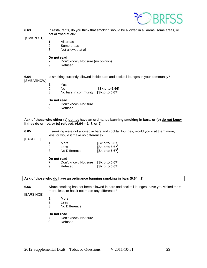

**6.63** In restaurants, do you think that smoking should be allowed in all areas, some areas, or not allowed at all?

[SMKREST]

- 1 All areas
- 2 Some areas<br>3 Not allowed
- Not allowed at all

#### **Do not read**

- 7 Don't know / Not sure (no opinion)
- 9 Refused

**6.64** Is smoking currently allowed inside bars and cocktail lounges in your community? [SMBARNOW]

- 1 Yes
- 2 No **[Skip to 6.66]**
- 3 No bars in community **[Skip to 6.67]**

#### **Do not read**

- 7 Don't know / Not sure<br>9 Refused
- **Refused**

#### **Ask of those who either (a) do not have an ordinance banning smoking in bars, or (b) do not know if they do or not, or (c) refused. (6.64 = 1, 7, or 9)**

#### **6.65 If** smoking were not allowed in bars and cocktail lounges, would you visit them more, less, or would it make no difference?

[BARDIFF]

|   | More          | [Skip to 6.67] |
|---|---------------|----------------|
| 2 | Less          | [Skip to 6.67] |
| 3 | No Difference | [Skip to 6.67] |

#### **Do not read**

| 7 | Don't know / Not sure [Skip to 6.67] |                |
|---|--------------------------------------|----------------|
| 9 | Refused                              | [Skip to 6.67] |

#### **Ask of those who do have an ordinance banning smoking in bars (6.64= 2)**

**6.66 Since** smoking has not been allowed in bars and cocktail lounges, have you visited them more, less, or has it not made any difference?

[BARSINCE]

- 1 More<br>2 Less
- Less
- 3 No Difference

- 7 Don't know / Not sure
- 9 Refused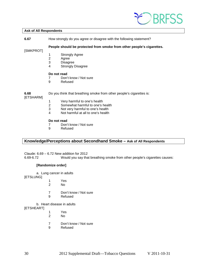

#### **Ask of All Respondents**

**6.67** How strongly do you agree or disagree with the following statement?

**People should be protected from smoke from other people's cigarettes.**

[SMKPROT]

- 1 Strongly Agree
- 2 Agree<br>3 Disagr
- **Disagree**
- 4 Strongly Disagree

#### **Do not read**

- 7 Don't know / Not sure<br>9 Refused
	- **Refused**

**6.68** Do you think that breathing smoke from other people's cigarettes is:

[ETSHARM]

- 1 Very harmful to one's health<br>2 Somewhat harmful to one's h
- 2 Somewhat harmful to one's health<br>3 Not very harmful to one's health
- Not very harmful to one's health
- 4 Not harmful at all to one's health

#### **Do not read**

- 7 Don't know / Not sure
- 9 Refused

### **Knowledge/Perceptions about Secondhand Smoke – Ask of All Respondents**

Claude:  $6.69 - 6.72$  New addition for 2012<br> $6.69 - 6.72$  Would you say tha Would you say that breathing smoke from other people's cigarettes causes:

#### **[Randomize order]**

a. Lung cancer in adults

[ETSLUNG]

- 1 Yes<br>2 No
- 2 No
- 7 Don't know / Not sure
- 9 Refused

b. Heart disease in adults

[ETSHEART]

- 1 Yes<br>2 No
- 2 No
- 7 Don't know / Not sure<br>9 Refused
- **Refused**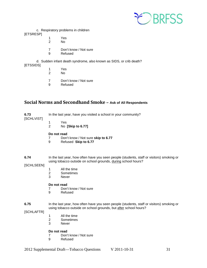

c. Respiratory problems in children

[ETSRESP]

- 1 Yes<br>2 No
- 2 No
- 7 Don't know / Not sure
- 9 Refused

d. Sudden infant death syndrome, also known as SIDS, or crib death?

- [ETSSIDS]
	- 1 Yes<br>2 No 2 No
	- 7 Don't know / Not sure<br>9 Refused
	- **Refused**

# <span id="page-30-0"></span>**Social Norms and Secondhand Smoke – Ask of All Respondents**

| 6.73<br>[SCHLVIST] | In the last year, have you visited a school in your community? |                                                                                           |  |  |
|--------------------|----------------------------------------------------------------|-------------------------------------------------------------------------------------------|--|--|
|                    |                                                                | Yes                                                                                       |  |  |
|                    | 2                                                              | No [Skip to 6.77]                                                                         |  |  |
|                    |                                                                | Do not read                                                                               |  |  |
|                    | 9                                                              | Don't know / Not sure skip to 6.77<br>Refused Skip to 6.77                                |  |  |
| 6.74               |                                                                | In the last year, how often have you seen people (students, staff or visitors) smoking or |  |  |
| [SCHLSEEN]         |                                                                | using tobacco outside on school grounds, during school hours?                             |  |  |
|                    |                                                                | All the time                                                                              |  |  |
|                    | 2                                                              | Sometimes                                                                                 |  |  |

- 
- 3 Never

#### **Do not read**

- 7 Don't know / Not sure<br>9 Refused
- **Refused**

#### **6.75** In the last year, how often have you seen people (students, staff or visitors) smoking or using tobacco outside on school grounds, but after school hours?

[SCHLAFTR]

- 1 All the time<br>2 Sometimes
- 2 Sometimes<br>3 Never
- **Never**

- 7 Don't know / Not sure<br>9 Refused
- **Refused**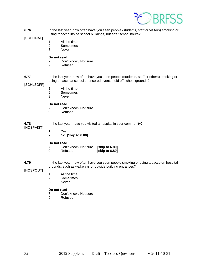

**6.76** In the last year, how often have you seen people (students, staff or visitors) smoking or using tobacco inside school buildings, but after school hours?

[SCHLINAF]

- 1 All the time
- 2 Sometimes<br>3 Never
	- **Never**

#### **Do not read**

- 7 Don't know / Not sure
- 9 Refused
- **6.77** In the last year, how often have you seen people (students, staff or others) smoking or using tobacco at school sponsored events held off school grounds?

[SCHLSOFF]

- 1 All the time<br>2 Sometimes
- 2 Sometimes<br>3 Never
- **Never**

#### **Do not read**

- 7 Don't know / Not sure<br>9 Refused
- **Refused**

| .78        | In the last year, have you vi |
|------------|-------------------------------|
| 1000110001 |                               |

[HOSPVIST]

**6.78** In the last year, have you visited a hospital in your community?

- - 1 Yes
	- 2 No **[Skip to 6.80]**

#### **Do not read**

|   | Don't know / Not sure [skip to 6.80] |                |
|---|--------------------------------------|----------------|
| 9 | Refused                              | [skip to 6.80] |

**6.79** In the last year, how often have you seen people smoking or using tobacco on hospital grounds, such as walkways or outside building entrances?

[HOSPOUT]

- 1 All the time<br>2 Sometimes
- 2 Sometimes<br>3 Never
- **Never**

- 7 Don't know / Not sure
- 9 Refused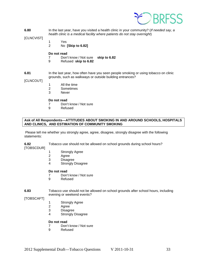

**6.80** In the last year, have you visited a health clinic in your community? (*If needed say, a health clinic is a medical facility where patients do not stay overnight*)

#### [CLNCVIST]

1 Yes 2 No **[Skip to 6.82]**

#### **Do not read**

- 7 Don't know / Not sure **skip to 6.82**
- 9 Refused **skip to 6.82**

#### **6.81** In the last year, how often have you seen people smoking or using tobacco on clinic grounds, such as walkways or outside building entrances?

#### [CLNCOUT]

- 1 All the time
- 2 Sometimes
- 3 Never

#### **Do not read**

- 7 Don't know / Not sure<br>9 Refused
- **Refused**

#### **Ask of All Respondents—ATTITUDES ABOUT SMOKING IN AND AROUND SCHOOLS, HOSPITALS AND CLINICS, AND ESTIMATION OF COMMUNITY SMOKING**

Please tell me whether you strongly agree, agree, disagree, strongly disagree with the following statements:

#### **6.82** Tobacco use should not be allowed on school grounds during school hours?

[TOBSCDUR]

- 1 Strongly Agree<br>2 Agree
- **Agree**
- 3 Disagree
- 4 Strongly Disagree

#### **Do not read**

- 7 Don't know / Not sure<br>9 Refused
- **Refused**

#### **6.83** Tobacco use should not be allowed on school grounds after school hours, including evening or weekend events?

#### [TOBSCAFT]

- 1 Strongly Agree
- 2 Agree<br>3 Disagr
- 3 Disagree<br>4 Strongly I
- Strongly Disagree

- 7 Don't know / Not sure
- 9 Refused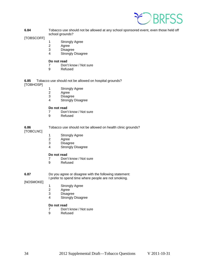

**6.84** Tobacco use should not be allowed at any school sponsored event, even those held off school grounds?

[TOBSCOFF]

- 1 Strongly Agree
- 2 Agree<br>3 Disagr
- **Disagree**
- 4 Strongly Disagree

#### **Do not read**

- 7 Don't know / Not sure<br>9 Refused
- **Refused**

**6.85** Tobacco use should not be allowed on hospital grounds? [TOBHOSP]

- 1 Strongly Agree<br>2 Agree
- 2 Agree<br>3 Disagr
- 3 Disagree<br>4 Strongly I
- Strongly Disagree

#### **Do not read**

- 7 Don't know / Not sure<br>9 Refused
	- **Refused**

**6.86** Tobacco use should not be allowed on health clinic grounds? [TOBCLNC]

- 1 Strongly Agree<br>2 Agree
- 2 Agree<br>3 Disagr
- 3 Disagree<br>4 Strongly I
- Strongly Disagree

#### **Do not read**

- 7 Don't know / Not sure
- 9 Refused

**6.87** Do you agree or disagree with the following statement:

I prefer to spend time where people are not smoking.

[NOSMOKE]

- 1 Strongly Agree<br>2 Agree
- 2 Agree<br>3 Disagr
- **Disagree**
- 4 Strongly Disagree

- 7 Don't know / Not sure<br>9 Refused
- **Refused**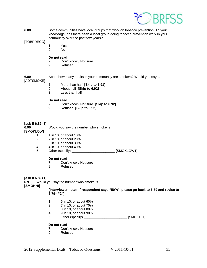

**6.88** Some communities have local groups that work on tobacco prevention. To your knowledge, has there been a local group doing tobacco prevention work in your community over the past few years?

[TOBPRECO]

- 1 Yes
	- $No$

#### **Do not read**

- 7 Don't know / Not sure
- 9 Refused

# [ADTSMOKE]

- **6.89** About how many adults in your community are smokers? Would you say…
	- - 1 More than half **[Skip to 6.91]**
		- 2 About half **[Skip to 6.92]**
		- Less than half

#### **Do not read**

- 7 Don't know / Not sure **[Skip to 6.92]**
- 9 Refused **[Skip to 6.92]**

#### **[ask if 6.89=3]**

**6.90** Would you say the number who smoke is…

[SMOKLOW]

- 1 1 in 10, or about 10%
- 2 2 in 10, or about 20%<br>3 3 in 10, or about 30%
- 3 3 in 10, or about 30%<br>4 4 in 10, or about 40%
- 4 4 in 10, or about 40%<br>5 Other (specify)
- Other (specify) \_\_\_\_\_\_\_\_\_\_\_\_\_\_\_\_\_\_\_\_\_\_\_\_\_\_ [SMOKLOWT]

#### **Do not read**

- 7 Don't know / Not sure
- 9 Refused

#### **[ask if 6.89=1]**

**6.91** Would you say the number who smoke is…

**[SMOKHI]**

**[Interviewer note: If respondent says "50%", please go back to 6.79 and revise to 6.79= "2"]**

- 1 6 in 10, or about 60%<br>2 7 in 10, or about 70%
- 2 7 in 10, or about 70%<br>3 8 in 10, or about 80%
- 3 8 in 10, or about 80%
- 4 9 in 10, or about 90%
- 5 Other (specify) \_\_\_\_\_\_\_\_\_\_\_\_\_\_\_\_\_\_\_\_\_\_\_\_\_\_\_ [SMOKHIT]

- 7 Don't know / Not sure<br>9 Refused
- **Refused**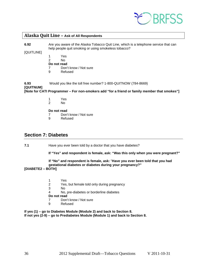

#### <span id="page-35-0"></span>**Alaska Quit Line – Ask of All Respondents**

**6.92** Are you aware of the Alaska Tobacco Quit Line, which is a telephone service that can help people quit smoking or using smokeless tobacco?

[QUITLINE]

- 1 Yes
- 2 No
- **Do not read**
- 7 Don't know / Not sure
- 9 Refused

**6.93** Would you like the toll free number? 1-800-QUITNOW (784-8669) **[QUITNUM]**

**[Note for CATI Programmer – For non-smokers add "for a friend or family member that smokes"]**

- 1 Yes<br>2 No
- N<sub>o</sub>

**Do not read**

- 7 Don't know / Not sure
- 9 Refused

# <span id="page-35-1"></span>**Section 7: Diabetes**

**7.1** Have you ever been told by a doctor that you have diabetes?

**If "Yes" and respondent is female, ask: "Was this only when you were pregnant?"**

### **If "No" and respondent is female, ask:** "**Have you ever been told that you had gestational diabetes or diabetes during your pregnancy?"**

#### **[DIABETE2 – BOTH]**

- 1 Yes<br>2 Yes
- 2 Yes, but female told only during pregnancy
- No.
- 4 No, pre-diabetes or borderline diabetes
- **Do not read**<br>7 Don't
- Don't know / Not sure
- 9 Refused

**If yes (1) – go to Diabetes Module (Module 2) and back to Section 8. If not yes (2-9) – go to Prediabetes Module (Module 1) and back to Section 8.**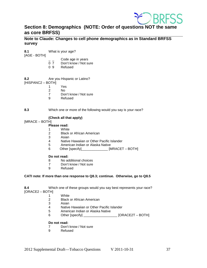

# <span id="page-36-0"></span>**Section 8: Demographics (NOTE: Order of questions NOT the same as core BRFSS)**

**Note to Claude: Changes to cell phone demographics as in Standard BRFSS survey**

**8.1** What is your age?

[AGE - BOTH]

- Code age in years
- 0 7 Don't know / Not sure<br>0 9 Refused
- **Refused**

**8.2** Are you Hispanic or Latino?

[HISPANC2 – BOTH]

- 1 Yes
- 2 No<br>7 Dor
- Don't know / Not sure
- 9 Refused
- **8.3** Which one or more of the following would you say is your race?

#### **(Check all that apply)**

#### [MRACE – BOTH]

## **Please read:**

- 1 White
- 2 Black or African American
- **Asian**
- 4 Native Hawaiian or Other Pacific Islander<br>5 American Indian or Alaska Native
- 5 American Indian or Alaska Native<br>6 Other Ispecifyl
- Other [specify]\_\_\_\_\_\_\_\_\_\_\_\_\_\_\_ [MRACET BOTH]

#### **Do not read:**

- 8 No additional choices<br>7 Don't know / Not sure
- Don't know / Not sure
- 9 Refused

#### **CATI note: If more than one response to Q8.3; continue. Otherwise, go to Q8.5**

**8.4** Which one of these groups would you say best represents your race?

[ORACE2 – BOTH]

- 1 White<br>2 Black
- **Black or African American**
- 3 Asian
- 4 Native Hawaiian or Other Pacific Islander
- 5 American Indian or Alaska Native
- 6 Other [specify] \_\_\_\_\_\_\_\_\_\_\_\_\_\_\_\_\_\_ [ORACE2T BOTH]

# **Do not read:**<br> **7** Don't

- 7 Don't know / Not sure<br>9 Refused
- **Refused**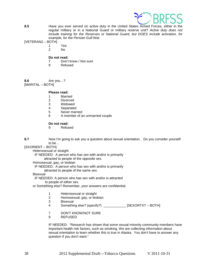

**8.5** Have you ever served on active duty in the United States Armed Forces, either in the regular military or in a National Guard or military reserve unit? *Active duty does not include training for the Reserves or National Guard, but DOES include activation, for example, for the Persian Gulf War.*

[VETERAN2 – BOTH]

- 1 Yes
	- $N<sub>0</sub>$

#### **Do not read:**

- 7 Don't know / Not sure
- 9 Refused

**8.6** Are you…? [MARITAL – BOTH]

#### **Please read:**

- 1 Married<br>2 Divorced
- 2 Divorced<br>3 Widowed
- 3 Widowed<br>4 Separated
- **Separated**
- 5 Never married
- 6 A member of an unmarried couple

#### **Do not read:**

9 Refused

**8.7** Now I'm going to ask you a question about sexual orientation. Do you consider yourself to be ..

[SXORIENT – BOTH]

Heterosexual or straight

IF NEEDED: A person who has sex with and/or is primarily

attracted to people of the opposite sex.

Homosexual, gay, or lesbian

 IF NEEDED: A person who has sex with and/or is primarily attracted to people of the same sex.

Bisexual

 IF NEEDED: A person who has sex with and/or is attracted to people of either sex.

or Something else? Remember, your answers are confidential.

- 1 Heterosexual or straight
- 2 Homosexual, gay, or lesbian
- **Bisexual**
- 4 Something else? (specify?) [SEXORTXT BOTH]
- 7 DON'T KNOW/NOT SURE
- 9 REFUSED

IF NEEDED: "Research has shown that some sexual minority community members have important health risk factors, such as smoking. We are collecting information about sexual orientation to learn whether this is true in Alaska. You don't have to answer any question if you don't want."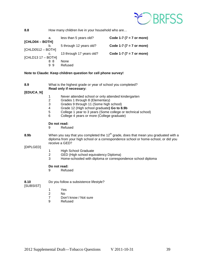

**8.8** How many children live in your household who are...

| а.                   | less than 5 years old?   | Code 1-7 ( $7 = 7$ or more) |
|----------------------|--------------------------|-----------------------------|
| [CHLD04 - BOTH]      |                          |                             |
| b.                   | 5 through 12 years old?  | Code 1-7 ( $7 = 7$ or more) |
| $[CHLD0512 - BOTH]$  |                          |                             |
| C.                   | 13 through 17 years old? | Code 1-7 ( $7 = 7$ or more) |
| $[CHLD13 17 - BOTH]$ |                          |                             |
| 88                   | None                     |                             |
| 99                   | Refused                  |                             |

#### **Note to Claude: Keep children question for cell phone survey!**

| 8.9       | What is the highest grade or year of school you completed? |
|-----------|------------------------------------------------------------|
|           | Read only if necessary:                                    |
| [EDUCA N] |                                                            |

- 1 Never attended school or only attended kindergarten<br>2 Grades 1 through 8 (Elementary)
- 2 Grades 1 through 8 (Elementary)<br>3 Grades 9 through 11 (Some high
- 3 Grades 9 through 11 (Some high school)<br>4 Grade 12 (High school graduate) **Go to 8**
- 4 Grade 12 (High school graduate**) Go to 8.9b**
- 5 College 1 year to 3 years (Some college or technical school)<br>6 College 4 years or more (College graduate)
- College 4 years or more (College graduate)

**Do not read:**

- 9 Refused
- 8.9b When you say that you completed the 12<sup>th</sup> grade, does that mean you graduated with a diploma from your high school or a correspondence school or home-school, or did you receive a GED?

[DIPLGED]

- 1 High School Graduate<br>2 GED (High school equ
- 2 GED (High school equivalency Diploma)<br>3 Home-schooled with diploma or correspo
- Home-schooled with diploma or correspondence school diploma

#### **Do not read:**

9 Refused

**8.10** Do you follow a subsistence lifestyle?

[SUBSIST]

- 1 Yes<br>2 No
- 2 No
- 7 Don't know / Not sure<br>9 Refused
- **Refused**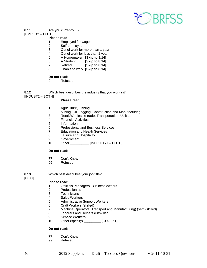

#### **8.11** Are you currently…?

### [EMPLOY – BOTH]

### **Please read:**

- 1 Employed for wages
- 2 Self-employed<br>3 Out of work for
- Out of work for more than 1 year
- 4 Out of work for less than 1 year
- 5 A Homemaker **[Skip to 8.14]**
- 6 A Student **[Skip to 8.14]**
- 7 Retired **[Skip to 8.14]**
- 8 Unable to work **[Skip to 8.14]**

# **Do not read:**<br>9 Refus

**Refused** 

**8.12** Which best describes the industry that you work in?

[INDUST2 – BOTH]

#### **Please read:**

- 1 Agriculture, Fishing<br>2 Mining, Oil, Logging
- 2 Mining, Oil, Logging, Construction and Manufacturing<br>3 Retail/Wholesale trade, Transportation, Utilities
- 3 Retail/Wholesale trade, Transportation, Utilities
- 4 Financial Activities<br>5 Information
- 5 Information<br>6 Professiona
- 6 Professional and Business Services<br>7 Education and Health Services
- **Education and Health Services**
- 8 Leisure and Hospitality
- 9 Government<br>10 Other
- Other \_\_\_\_\_\_\_\_\_\_ [INDOTHRT BOTH]

#### **Do not read:**

- 77 Don't Know<br>99 Refused
- Refused

[COC]

**8.13** Which best describes your job title?

# **Please read:**<br>1 **Offici**

- 1 Officials, Managers, Business owners<br>2 Professionals
- 2 Professionals<br>3 Technicians
- **Technicians**
- 4 Sales Workers<br>5 Administrative
- 5 Administrative Support Workers<br>6 Craft Workers (skilled)
- 6 Craft Workers (skilled)
- 7 Machine Operators (Transport and Manufacturing) (semi-skilled)
- Laborers and Helpers (unskilled)
- 9 Service Workers<br>10 Other (specify)
- Other (specify) \_\_\_\_\_\_\_\_\_ [COCTXT]

- 77 Don't Know
- 99 Refused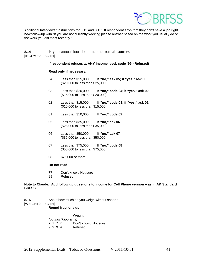

Additional Interviewer Instructions for 8.12 and 8.13: If respondent says that they don't have a job right now follow-up with "If you are not currently working please answer based on the work you usually do or the work you did most recently."

**8.14** Is your annual household income from all sources— [INCOME2 – BOTH]

#### **If respondent refuses at ANY income level, code '99' (Refused)**

#### **Read only if necessary:**

- 04 Less than \$25,000 **If "no," ask 05; if "yes," ask 03** (\$20,000 to less than \$25,000)
- 03 Less than \$20,000 **If "no," code 04; if "yes," ask 02** (\$15,000 to less than \$20,000)
- 02 Less than \$15,000 **If "no," code 03; if "yes," ask 01** (\$10,000 to less than \$15,000)
- 01 Less than \$10,000 **If "no," code 02**
- 05 Less than \$35,000 **If "no," ask 06** (\$25,000 to less than \$35,000)
- 06 Less than \$50,000 **If "no," ask 07** (\$35,000 to less than \$50,000)
- 07 Less than \$75,000 **If "no," code 08** (\$50,000 to less than \$75,000)
- 08 \$75,000 or more

#### **Do not read:**

- 77 Don't know / Not sure<br>99 Refused
- Refused

#### **Note to Claude: Add follow up questions to income for Cell Phone version – as in AK Standard BRFSS**

**8.15** About how much do you weigh without shoes? [WEIGHT2 – BOTH] **Round fractions up**

> **\_ \_ \_ \_** Weight *(pounds/kilograms)* Don't know / Not sure<br>Refused 9 9 9 9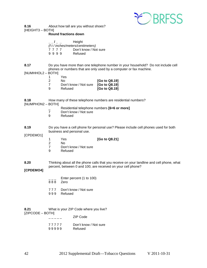

**8.16** About how tall are you without shoes? [HEIGHT3 – BOTH]

#### **Round fractions down**

| Height<br>$\mathbf{I}$ and $\mathbf{I}$ and $\mathbf{I}$ and $\mathbf{I}$ and $\mathbf{I}$ and $\mathbf{I}$ and $\mathbf{I}$ and $\mathbf{I}$ and $\mathbf{I}$ and $\mathbf{I}$ and $\mathbf{I}$ and $\mathbf{I}$ and $\mathbf{I}$ and $\mathbf{I}$ and $\mathbf{I}$ and $\mathbf{I}$ and $\mathbf{I}$ and |  |      |  |                       |
|------------------------------------------------------------------------------------------------------------------------------------------------------------------------------------------------------------------------------------------------------------------------------------------------------------|--|------|--|-----------------------|
| (f t / inches/meters/centimeters)                                                                                                                                                                                                                                                                          |  |      |  |                       |
|                                                                                                                                                                                                                                                                                                            |  | 7777 |  | Don't know / Not sure |
| 9999                                                                                                                                                                                                                                                                                                       |  |      |  | Refused               |

- **8.17** Do you have more than one telephone number in your household? Do not include cell phones or numbers that are only used by a computer or fax machine.
- [NUMHHOL2 BOTH]

|    | Yes                                 |               |
|----|-------------------------------------|---------------|
| 2  | No.                                 | [Go to Q8.19] |
| -7 | Don't know / Not sure [Go to Q8.19] |               |
| ്റ | Refused                             | [Go to Q8.19] |

- **8.18** How many of these telephone numbers are residential numbers? [NUMPHON2 – BOTH]
	- \_ Residential telephone numbers **[6=6 or more]**
	- 7 Don't know / Not sure<br>9 Refused
	- **Refused**
- **8.19** Do you have a cell phone for personal use? Please include cell phones used for both business and personal use.

[CPDEMO1]

- 1 Yes **[Go to Q8.21]**
- 2 No<br>7 Dor
- 7 Don't know / Not sure<br>9 Refused
- **Refused**
- **8.20** Thinking about all the phone calls that you receive on your landline and cell phone, what percent, between 0 and 100, are received on your cell phone?

#### **[CPDEMO4]**

- Enter percent (1 to 100)
- 8 8 8 Zero
- 777 Don't know / Not sure<br>999 Refused
- **Refused**

| 8.21             | What is your ZIP Code where you live? |                       |  |
|------------------|---------------------------------------|-----------------------|--|
| [ZIPCODE – BOTH] |                                       |                       |  |
|                  |                                       | ZIP Code              |  |
|                  | 77777                                 | Don't know / Not sure |  |

9 9 9 9 9 Refused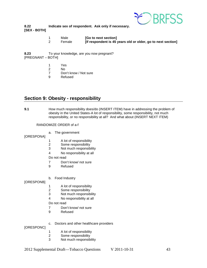

#### **8.22 Indicate sex of respondent. Ask only if necessary. [SEX - BOTH]**

1 Male **[Go to next section]**<br>2 Female **IIf respondent is 45 If respondent is 45 years old or older, go to next section]** 

**8.23** To your knowledge, are you now pregnant? [PREGNANT – BOTH]

- 1 Yes
- 2 No
- Don't know / Not sure
- 9 Refused

# <span id="page-42-0"></span>**Section 9: Obesity - responsibility**

**9.1** How much responsibility does/do (INSERT ITEM) have in addressing the problem of obesity in the United States-A lot of responsibility, some responsibility, not much responsibility, or no responsibility at all? And what about (INSERT NEXT ITEM)

#### RANDOMIZE ORDER of a-f

a. The government

[ORESPONA]

- 1 A lot of responsibility<br>2 Some responsibility
- Some responsibility
- 3 Not much responsibility
- 4 No responsibility at all

#### Do not read

- 7 Don't know/ not sure
- 9 Refused
- b. Food Industry

[ORESPONB]

- 
- 1 A lot of responsibility<br>2 Some responsibility Some responsibility
- 3 Not much responsibility
- 4 No responsibility at all

Do not read

- 7 Don't know/ not sure
- 9 Refused
- [ORESPONC]
- 
- 1 A lot of responsibility<br>2 Some responsibility
- 2 Some responsibility<br>3 Not much responsib Not much responsibility

c. Doctors and other healthcare providers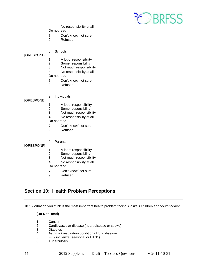

- 4 No responsibility at all Do not read
- 7 Don't know/ not sure
- 9 Refused
- d. Schools

[ORESPOND]

- 1 A lot of responsibility<br>2 Some responsibility
- 2 Some responsibility<br>3 Not much responsib
- Not much responsibility
- 4 No responsibility at all
- Do not read
- 7 Don't know/ not sure
- 9 Refused
- e. Individuals

[ORESPONE]

- 1 A lot of responsibility<br>2 Some responsibility
- 2 Some responsibility<br>3 Not much responsib
- Not much responsibility
- 4 No responsibility at all

Do not read

- 7 Don't know/ not sure
- 9 Refused
- f. Parents

[ORESPONF]

- 1 A lot of responsibility<br>2 Some responsibility
- Some responsibility
- 3 Not much responsibility
- 4 No responsibility at all
- Do not read
- 7 Don't know/ not sure
- 9 Refused

# **Section 10: Health Problem Perceptions**

10.1 - What do you think is the most important health problem facing Alaska's children and youth today?

#### **(Do Not Read)**

- 1 Cancer<br>2 Cardiov
- 2 Cardiovascular disease (heart disease or stroke)
- 3 Diabetes<br>4 Asthma /
- 4 Asthma / respiratory conditions / lung disease<br>5 Flu / influenza (seasonal or H1N1)
- 5 Flu / influenza (seasonal or H1N1)
- 6 Tuberculosis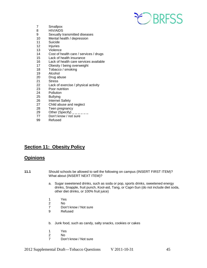

- 7 Smallpox<br>8 HIV/AIDS
- 8 HIV/AIDS<br>9 Sexually t
- Sexually transmitted diseases
- 10 Mental health / depression
- 11 Suicide<br>12 Iniuries
- **Injuries**
- 13 Violence
- 14 Cost of health care / services / drugs<br>15 Lack of health insurance
- Lack of health insurance
- 16 Lack of health care services available
- 17 Obesity / being overweight<br>18 Tobacco / smoking
- Tobacco / smoking
- 19 Alcohol
- 20 Drug abuse<br>21 Stress
- **Stress**
- 22 Lack of exercise / physical activity
- 23 Poor nutrition<br>24 Pollution
- 24 Pollution<br>25 Bullying
- 25 Bullying<br>26 Internet
- 26 Internet Safety<br>27 Child abuse and
- 27 Child abuse and neglect<br>28 Teen pregnancy
- 28 Teen pregnancy<br>29 Other (Specify)
- 29 Other (Specify)  $29$  Other (Specify)  $29$  Don't know / not sure
- Don't know / not sure
- 99 Refused

# **Section 11: Obesity Policy**

# **Opinions**

- **11.1** Should schools be allowed to sell the following on campus (INSERT FIRST ITEM)? What about (INSERT NEXT ITEM)?
	- a. Sugar sweetened drinks, such as soda or pop, sports drinks, sweetened energy drinks, Snapple, fruit punch, Kool-aid, Tang, or Capri-Sun (do not include diet soda, other diet drinks, or 100% fruit juice)
	- 1 Yes<br>2 No
	- 2 No
	- Don't know / Not sure
	- 9 Refused
	- b. Junk food, such as candy, salty snacks, cookies or cakes
	- 1 Yes
	- 2 No<br>7 Dou
	- Don't know / Not sure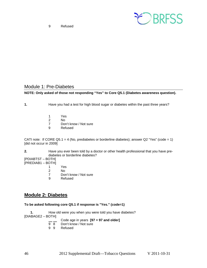9 Refused



### <span id="page-45-0"></span>Module 1: Pre-Diabetes

#### **NOTE: Only asked of those not responding "Yes" to Core Q5.1 (Diabetes awareness question).**

**1.** Have you had a test for high blood sugar or diabetes within the past three years?

- 1 Yes
- 2 No<br>7 Dor
- Don't know / Not sure
- 9 Refused

CATI note: If CORE Q5.1 = 4 (No, prediabetes or borderline diabetes); answer Q2 "Yes" (code = 1) [did not occur in 2009]

**2.** Have you ever been told by a doctor or other health professional that you have prediabetes or borderline diabetes?

[PDIABTST – BOTH] [PREDIAB1 – BOTH]

- 
- 1 Yes<br>2 No No
	-
- 7 Don't know / Not sure<br>9 Refused **Refused**
- 

# <span id="page-45-1"></span>**Module 2: Diabetes**

#### **To be asked following core Q5.1 if response is "Yes." (code=1)**

**1.** How old were you when you were told you have diabetes? [DIABAGE2 – BOTH]

- Code age in years **[97 = 97 and older]**<br>9 8 Don't know / Not sure
- Don't know / Not sure
- 9 9 Refused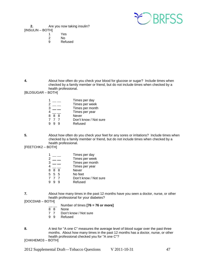

**2.** Are you now taking insulin? [INSULIN – BOTH]

- 
- 1 Yes<br>2 No 2 No<br>9 Ref
- **Refused**

**4.** About how often do you check your blood for glucose or sugar? Include times when checked by a family member or friend, but do not include times when checked by a health professional.

[BLDSUGAR – BOTH]

|     | Times per day         |
|-----|-----------------------|
|     | Times per week        |
| 3   | Times per month       |
|     | Times per year        |
| 888 | Never                 |
| 777 | Don't know / Not sure |
|     | Refused               |
|     |                       |

**5.** About how often do you check your feet for any sores or irritations? Include times when checked by a family member or friend, but do not include times when checked by a health professional.

[FEETCHK2 – BOTH]

| 1 |       | Times per day         |
|---|-------|-----------------------|
| 2 |       | Times per week        |
| 3 |       | Times per month       |
| 4 |       | Times per year        |
|   | 888   | Never                 |
|   | 5 5 5 | No feet               |
|   | 777   | Don't know / Not sure |
| 9 |       | Refused               |
|   |       |                       |

- **7.** About how many times in the past 12 months have you seen a doctor, nurse, or other health professional for your diabetes?
- [DOCDIAB BOTH]
	- $\frac{1}{8}$  Number of times **[76 = 76 or more]**
	- 8 8 None<br>7 7 Don't
	- Don't know / Not sure
	- 9 9 Refused
- **8.** A test for "A one C" measures the average level of blood sugar over the past three months. About how many times in the past 12 months has a doctor, nurse, or other health professional checked you for "A one C"?

[CHKHEMO3 – BOTH]

2012 Supplemental Draft—Tobacco Questions V 2011-10-31 47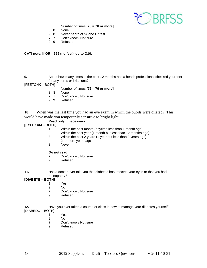

- $\frac{1}{8}$  Number of times **[76 = 76 or more]**<br> $\frac{1}{8}$  None
- **None**
- 9 8 Never heard of "A one C" test<br>7 7 Don't know / Not sure
- 7 7 Don't know / Not sure<br>9 9 Refused
- **Refused**

#### **CATI note: If Q5 = 555 (no feet), go to Q10.**

**9.** About how many times in the past 12 months has a health professional checked your feet for any sores or irritations?

[FEETCHK – BOTH]

- $\frac{1}{8}$  Number of times **[76 = 76 or more]**
- 8 8 None<br>7 7 Don't
- 7 7 Don't know / Not sure<br>9 9 Refused
- **Refused**

**10.** When was the last time you had an eye exam in which the pupils were dilated? This would have made you temporarily sensitive to bright light.

## **Read only if necessary:**

#### **[EYEEXAM – BOTH]**

- 1 Within the past month (anytime less than 1 month ago)<br>2 Within the past vear (1 month but less than 12 months a
- Within the past year (1 month but less than 12 months ago)
- 3 Within the past 2 years (1 year but less than 2 years ago)
- $\frac{4}{8}$  2 or more years ago
- **Never**

#### **Do not read:**

- 7 Don't know / Not sure<br>9 Refused
- **Refused**
- **11.** Has a doctor ever told you that diabetes has affected your eyes or that you had retinopathy?

#### **[DIABEYE – BOTH]**

- 1 Yes<br>2 No
- 2 No<br>7 Dor
- 7 Don't know / Not sure<br>9 Refused
- **Refused**

**12.** Have you ever taken a course or class in how to manage your diabetes yourself? [DIABEDU – BOTH]

- 1 Yes
- 2 No<br>7 Dor
- 7 Don't know / Not sure<br>9 Refused
- **Refused**